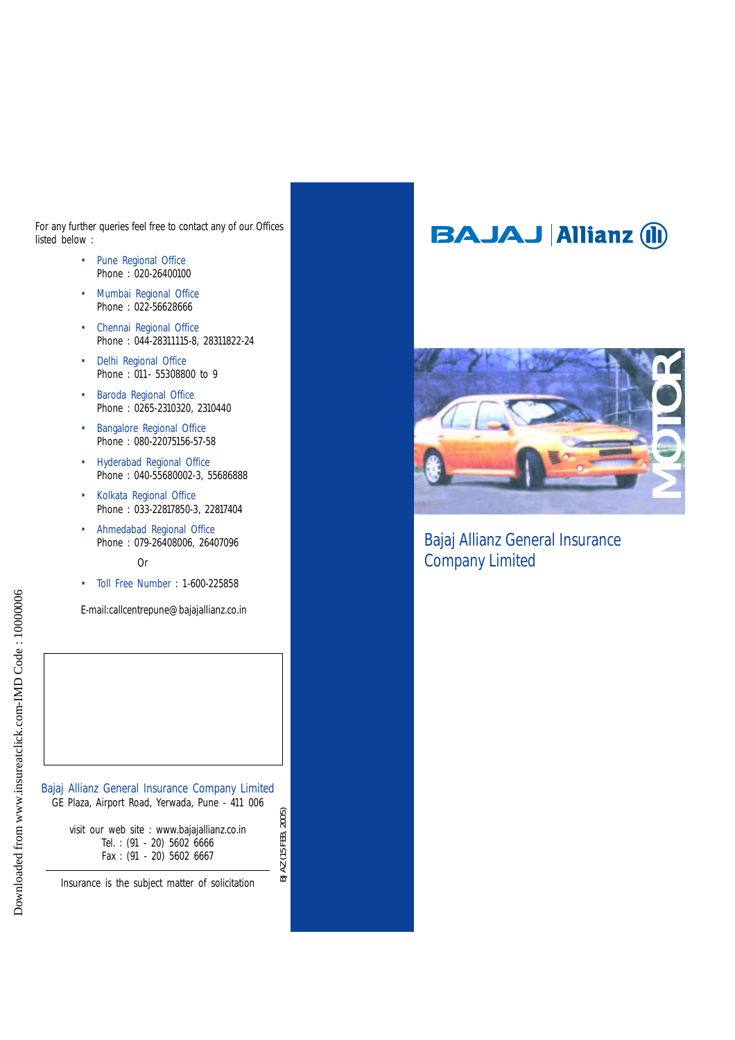For any further queries feel free to contact any of our Offices listed below :

- Pune Regional Office Phone : 020-26400100
- Mumbai Regional Office Phone : 022-56628666
- Chennai Regional Office Phone : 044-28311115-8, 28311822-24
- Delhi Regional Office Phone : 011- 55308800 to 9
- Baroda Regional Office Phone : 0265-2310320, 2310440
- Bangalore Regional Office Phone : 080-22075156-57-58
- Hyderabad Regional Office Phone : 040-55680002-3, 55686888
- Kolkata Regional Office Phone : 033-22817850-3, 22817404
- Ahmedabad Regional Office Phone : 079-26408006, 26407096

Or

• Toll Free Number : 1-600-225858

E-mail:callcentrepune@bajajallianz.co.in

Bajaj Allianz General Insurance Company Limited GE Plaza, Airport Road, Yerwada, Pune - 411 006 BJ AZ (15 FEB, 2005) visit our web site : www.bajajallianz.co.in Tel. : (91 - 20) 5602 6666 Fax : (91 - 20) 5602 6667

BJ AZ (15 FEB, 2005)

Insurance is the subject matter of solicitation

# **BAJAJ Allianz (II)**



# Bajaj Allianz General Insurance Company Limited